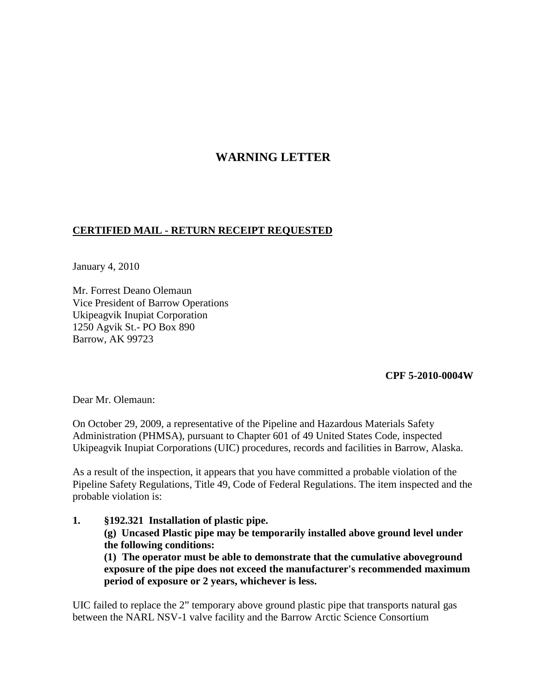## **WARNING LETTER**

## **CERTIFIED MAIL - RETURN RECEIPT REQUESTED**

January 4, 2010

Mr. Forrest Deano Olemaun Vice President of Barrow Operations Ukipeagvik Inupiat Corporation 1250 Agvik St.- PO Box 890 Barrow, AK 99723

## **CPF 5-2010-0004W**

Dear Mr. Olemaun:

On October 29, 2009, a representative of the Pipeline and Hazardous Materials Safety Administration (PHMSA), pursuant to Chapter 601 of 49 United States Code, inspected Ukipeagvik Inupiat Corporations (UIC) procedures, records and facilities in Barrow, Alaska.

As a result of the inspection, it appears that you have committed a probable violation of the Pipeline Safety Regulations, Title 49, Code of Federal Regulations. The item inspected and the probable violation is:

**1. §192.321 Installation of plastic pipe. (g) Uncased Plastic pipe may be temporarily installed above ground level under the following conditions: (1) The operator must be able to demonstrate that the cumulative aboveground** 

**exposure of the pipe does not exceed the manufacturer's recommended maximum period of exposure or 2 years, whichever is less.**

UIC failed to replace the 2" temporary above ground plastic pipe that transports natural gas between the NARL NSV-1 valve facility and the Barrow Arctic Science Consortium